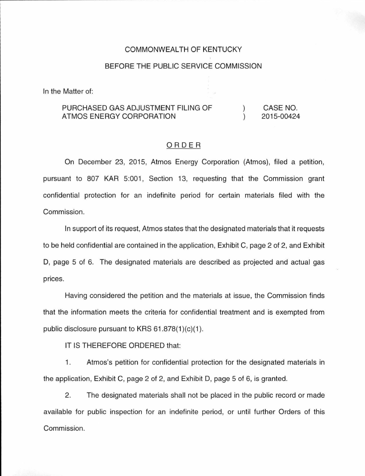### COMMONWEALTH OF KENTUCKY

### BEFORE THE PUBLIC SERVICE COMMISSION

In the Matter of:

#### PURCHASED GAS ADJUSTMENT FILING OF ATMOS ENERGY CORPORATION )  $\lambda$ CASE NO. 2015-00424

## ORDER

On December 23, 2015, Atmos Energy Corporation (Atmos), filed a petition, pursuant to 807 KAR 5:001, Section 13, requesting that the Commission grant confidential protection for an indefinite period for certain materials filed with the Commission.

In support of its request, Atmos states that the designated materials that it requests to be held confidential are contained in the application, Exhibit C, page 2 of 2, and Exhibit D, page 5 of 6. The designated materials are described as projected and actual gas prices.

Having considered the petition and the materials at issue, the Commission finds that the information meets the criteria for confidential treatment and is exempted from public disclosure pursuant to KRS  $61.878(1)(c)(1)$ .

IT IS THEREFORE ORDERED that:

1. Atmos's petition for confidential protection for the designated materials in the application, Exhibit C, page 2 of 2, and Exhibit D, page 5 of 6, is granted.

2. The designated materials shall not be placed in the public record or made available for public inspection for an indefinite period, or until further Orders of this Commission.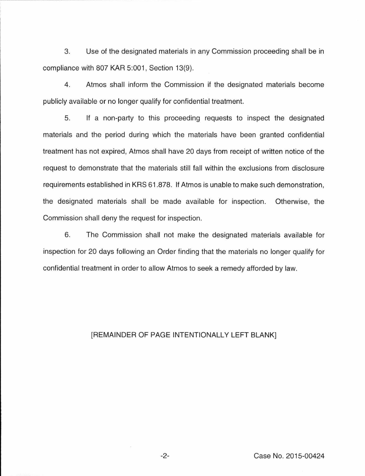3. Use of the designated materials in any Commission proceeding shall be in compliance with 807 KAR 5:001, Section 13(9).

4. Atmos shall inform the Commission if the designated materials become publicly available or no longer qualify for confidential treatment.

5. If a non-party to this proceeding requests to inspect the designated materials and the period during which the materials have been granted confidential treatment has not expired, Atmos shall have 20 days from receipt of written notice of the request to demonstrate that the materials still fall within the exclusions from disclosure requirements established in KRS 61.878. If Atmos is unable to make such demonstration, the designated materials shall be made available for inspection. Otherwise, the Commission shall deny the request for inspection.

6. The Commission shall not make the designated materials available for inspection for 20 days following an Order finding that the materials no longer qualify for confidential treatment in order to allow Atmos to seek a remedy afforded by law.

# [REMAINDER OF PAGE INTENTIONALLY LEFT BLANK]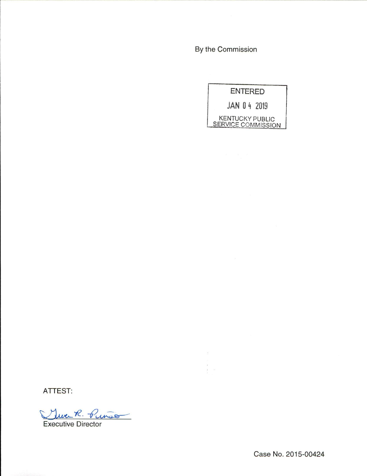By the Commission

्<br>|| अन्



ATTEST:

There R. Pinso

Executive Director

Case No. 2015-00424